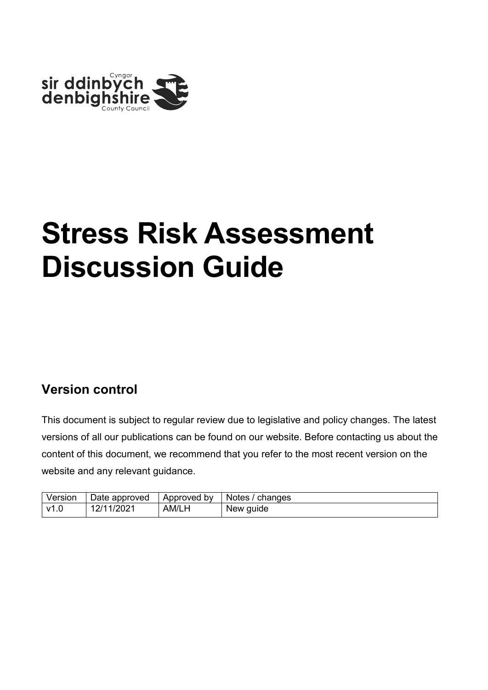

#### **Version control**

This document is subject to regular review due to legislative and policy changes. The latest versions of all our publications can be found on our website. Before contacting us about the content of this document, we recommend that you refer to the most recent version on the website and any relevant guidance.

| Version | Date approved | Approved by | Notes / changes |
|---------|---------------|-------------|-----------------|
| v1.0    | 12/11/2021    | AM/LH       | New guide       |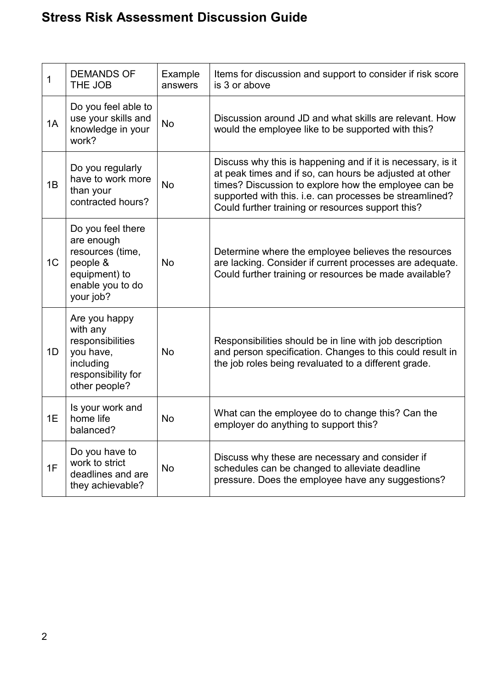| 1              | <b>DEMANDS OF</b><br>THE JOB                                                                                      | Example<br>answers | Items for discussion and support to consider if risk score<br>is 3 or above                                                                                                                                                                                                                    |
|----------------|-------------------------------------------------------------------------------------------------------------------|--------------------|------------------------------------------------------------------------------------------------------------------------------------------------------------------------------------------------------------------------------------------------------------------------------------------------|
| 1A             | Do you feel able to<br>use your skills and<br>knowledge in your<br>work?                                          | <b>No</b>          | Discussion around JD and what skills are relevant. How<br>would the employee like to be supported with this?                                                                                                                                                                                   |
| 1B             | Do you regularly<br>have to work more<br>than your<br>contracted hours?                                           | No                 | Discuss why this is happening and if it is necessary, is it<br>at peak times and if so, can hours be adjusted at other<br>times? Discussion to explore how the employee can be<br>supported with this. i.e. can processes be streamlined?<br>Could further training or resources support this? |
| 1 <sub>C</sub> | Do you feel there<br>are enough<br>resources (time,<br>people &<br>equipment) to<br>enable you to do<br>your job? | <b>No</b>          | Determine where the employee believes the resources<br>are lacking. Consider if current processes are adequate.<br>Could further training or resources be made available?                                                                                                                      |
| 1D             | Are you happy<br>with any<br>responsibilities<br>you have,<br>including<br>responsibility for<br>other people?    | No                 | Responsibilities should be in line with job description<br>and person specification. Changes to this could result in<br>the job roles being revaluated to a different grade.                                                                                                                   |
| 1E             | Is your work and<br>home life<br>balanced?                                                                        | No                 | What can the employee do to change this? Can the<br>employer do anything to support this?                                                                                                                                                                                                      |
| 1F             | Do you have to<br>work to strict<br>deadlines and are<br>they achievable?                                         | <b>No</b>          | Discuss why these are necessary and consider if<br>schedules can be changed to alleviate deadline<br>pressure. Does the employee have any suggestions?                                                                                                                                         |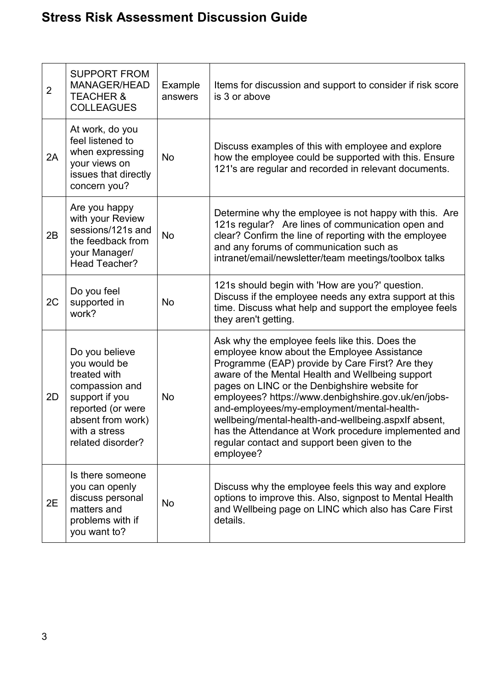| $\overline{2}$ | <b>SUPPORT FROM</b><br><b>MANAGER/HEAD</b><br><b>TEACHER &amp;</b>                                                                                                 | Example<br>answers | Items for discussion and support to consider if risk score<br>is 3 or above                                                                                                                                                                                                                                                                                                                                                                                                                                                              |
|----------------|--------------------------------------------------------------------------------------------------------------------------------------------------------------------|--------------------|------------------------------------------------------------------------------------------------------------------------------------------------------------------------------------------------------------------------------------------------------------------------------------------------------------------------------------------------------------------------------------------------------------------------------------------------------------------------------------------------------------------------------------------|
|                | <b>COLLEAGUES</b>                                                                                                                                                  |                    |                                                                                                                                                                                                                                                                                                                                                                                                                                                                                                                                          |
| 2A             | At work, do you<br>feel listened to<br>when expressing<br>your views on<br>issues that directly<br>concern you?                                                    | No                 | Discuss examples of this with employee and explore<br>how the employee could be supported with this. Ensure<br>121's are regular and recorded in relevant documents.                                                                                                                                                                                                                                                                                                                                                                     |
| 2B             | Are you happy<br>with your Review<br>sessions/121s and<br>the feedback from<br>your Manager/<br>Head Teacher?                                                      | <b>No</b>          | Determine why the employee is not happy with this. Are<br>121s regular? Are lines of communication open and<br>clear? Confirm the line of reporting with the employee<br>and any forums of communication such as<br>intranet/email/newsletter/team meetings/toolbox talks                                                                                                                                                                                                                                                                |
| 2C             | Do you feel<br>supported in<br>work?                                                                                                                               | <b>No</b>          | 121s should begin with 'How are you?' question.<br>Discuss if the employee needs any extra support at this<br>time. Discuss what help and support the employee feels<br>they aren't getting.                                                                                                                                                                                                                                                                                                                                             |
| 2D             | Do you believe<br>you would be<br>treated with<br>compassion and<br>support if you<br>reported (or were<br>absent from work)<br>with a stress<br>related disorder? | No                 | Ask why the employee feels like this. Does the<br>employee know about the Employee Assistance<br>Programme (EAP) provide by Care First? Are they<br>aware of the Mental Health and Wellbeing support<br>pages on LINC or the Denbighshire website for<br>employees? https://www.denbighshire.gov.uk/en/jobs-<br>and-employees/my-employment/mental-health-<br>wellbeing/mental-health-and-wellbeing.aspxlf absent,<br>has the Attendance at Work procedure implemented and<br>regular contact and support been given to the<br>employee? |
| 2E             | Is there someone<br>you can openly<br>discuss personal<br>matters and<br>problems with if<br>you want to?                                                          | <b>No</b>          | Discuss why the employee feels this way and explore<br>options to improve this. Also, signpost to Mental Health<br>and Wellbeing page on LINC which also has Care First<br>details.                                                                                                                                                                                                                                                                                                                                                      |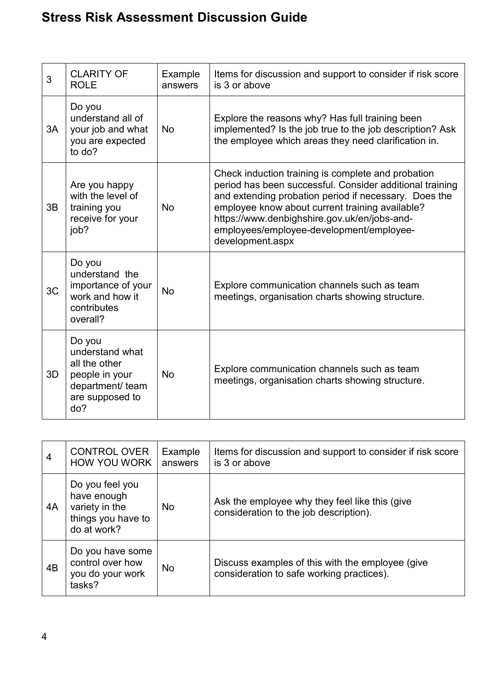| 3  | <b>CLARITY OF</b><br><b>ROLE</b>                                                                           | Example<br>answers | Items for discussion and support to consider if risk score<br>is 3 or above                                                                                                                                                                                                                                                                |
|----|------------------------------------------------------------------------------------------------------------|--------------------|--------------------------------------------------------------------------------------------------------------------------------------------------------------------------------------------------------------------------------------------------------------------------------------------------------------------------------------------|
| 3A | Do you<br>understand all of<br>your job and what<br>you are expected<br>to do?                             | <b>No</b>          | Explore the reasons why? Has full training been<br>implemented? Is the job true to the job description? Ask<br>the employee which areas they need clarification in.                                                                                                                                                                        |
| 3B | Are you happy<br>with the level of<br>training you<br>receive for your<br>job?                             | <b>No</b>          | Check induction training is complete and probation<br>period has been successful. Consider additional training<br>and extending probation period if necessary. Does the<br>employee know about current training available?<br>https://www.denbighshire.gov.uk/en/jobs-and-<br>employees/employee-development/employee-<br>development.aspx |
| 3C | Do you<br>understand the<br>importance of your<br>work and how it<br>contributes<br>overall?               | <b>No</b>          | Explore communication channels such as team<br>meetings, organisation charts showing structure.                                                                                                                                                                                                                                            |
| 3D | Do you<br>understand what<br>all the other<br>people in your<br>department/ team<br>are supposed to<br>do? | No                 | Explore communication channels such as team<br>meetings, organisation charts showing structure.                                                                                                                                                                                                                                            |

| $\overline{4}$ | <b>CONTROL OVER</b><br><b>HOW YOU WORK</b>                                            | Example<br>answers | Items for discussion and support to consider if risk score<br>is 3 or above                   |
|----------------|---------------------------------------------------------------------------------------|--------------------|-----------------------------------------------------------------------------------------------|
| 4A             | Do you feel you<br>have enough<br>variety in the<br>things you have to<br>do at work? | No.                | Ask the employee why they feel like this (give<br>consideration to the job description).      |
| 4B             | Do you have some<br>control over how<br>you do your work<br>tasks?                    | No                 | Discuss examples of this with the employee (give<br>consideration to safe working practices). |